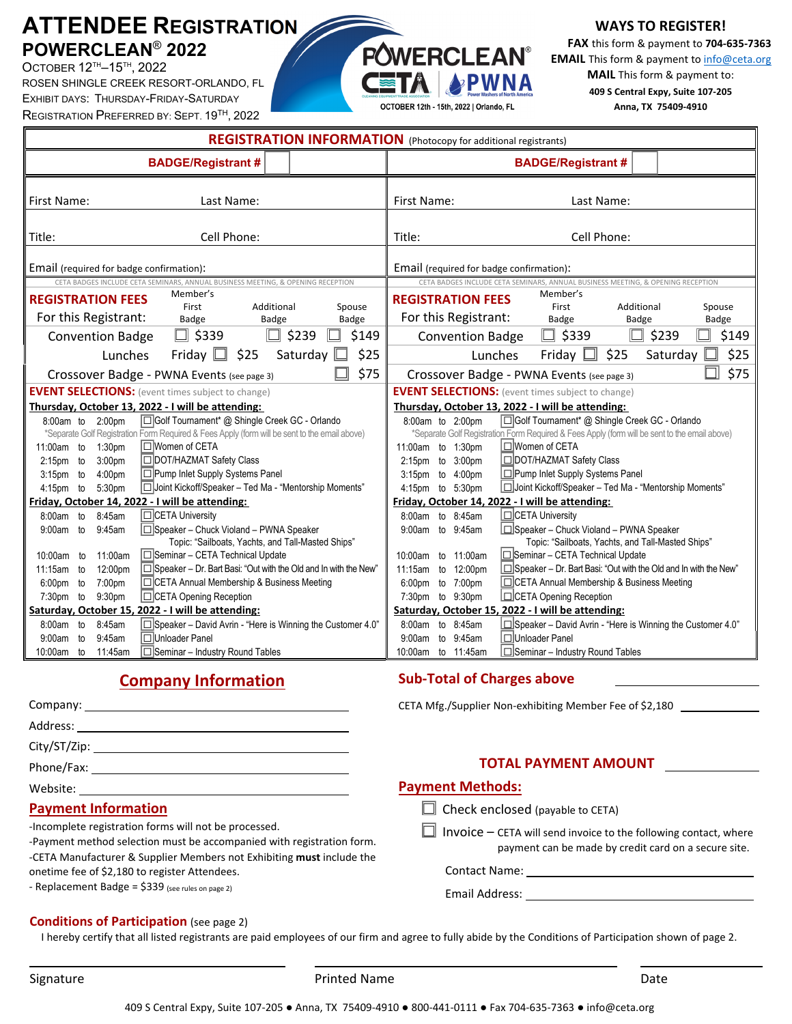## **ATTENDEE REGISTRATION POWERCLEAN**® **2022**

OCTOBER 12TH–15TH , 2022 ROSEN SHINGLE CREEK RESORT-ORLANDO, FL EXHIBIT DAYS: THURSDAY-FRIDAY-SATURDAY REGISTRATION PREFERRED BY: SEPT. 19TH, 2022

#### **WAYS TO REGISTER!**

**FAX** this form & payment to **704‐635‐7363 EMAIL** This form & payment to **info@ceta.org MAIL** This form & payment to: **409 S Central Expy, Suite 107‐205 Anna, TX 75409‐4910**

| REGISTRATION INFORMATION (Photocopy for additional registrants)                                                                                                    |                                                                                                                                                                    |
|--------------------------------------------------------------------------------------------------------------------------------------------------------------------|--------------------------------------------------------------------------------------------------------------------------------------------------------------------|
| <b>BADGE/Registrant #</b>                                                                                                                                          | <b>BADGE/Registrant #</b>                                                                                                                                          |
| First Name:<br>Last Name:                                                                                                                                          | First Name:<br>Last Name:                                                                                                                                          |
| Cell Phone:<br>Title:                                                                                                                                              | Cell Phone:<br>Title:                                                                                                                                              |
| Email (required for badge confirmation):                                                                                                                           | Email (required for badge confirmation):                                                                                                                           |
| CETA BADGES INCLUDE CETA SEMINARS, ANNUAL BUSINESS MEETING, & OPENING RECEPTION                                                                                    | CETA BADGES INCLUDE CETA SEMINARS, ANNUAL BUSINESS MEETING, & OPENING RECEPTION                                                                                    |
| Member's<br><b>REGISTRATION FEES</b><br>First<br>Additional<br>Spouse<br>For this Registrant:<br><b>Badge</b><br>Badge<br><b>Badge</b>                             | Member's<br><b>REGISTRATION FEES</b><br>First<br>Additional<br>Spouse<br>For this Registrant:<br>Badge<br>Badge<br>Badge                                           |
| $\Box$<br>$\Box$ \$339<br>\$239<br>\$149<br>$\Box$<br><b>Convention Badge</b>                                                                                      | \$149<br>$\Box$ \$339<br>$\Box$ \$239<br><b>Convention Badge</b>                                                                                                   |
| Friday $\Box$<br>\$25<br>Saturday<br>\$25<br>Lunches                                                                                                               | \$25<br>Friday $\Box$<br>\$25<br>Lunches<br>Saturday                                                                                                               |
| \$75<br>Crossover Badge - PWNA Events (see page 3)                                                                                                                 | n<br>\$75<br>Crossover Badge - PWNA Events (see page 3)                                                                                                            |
| <b>EVENT SELECTIONS:</b> (event times subject to change)                                                                                                           | <b>EVENT SELECTIONS:</b> (event times subject to change)                                                                                                           |
| Thursday, October 13, 2022 - I will be attending:                                                                                                                  | Thursday, October 13, 2022 - I will be attending:                                                                                                                  |
| Golf Tournament* @ Shingle Creek GC - Orlando<br>8:00am to 2:00pm<br>*Separate Golf Registration Form Required & Fees Apply (form will be sent to the email above) | Golf Tournament* @ Shingle Creek GC - Orlando<br>8:00am to 2:00pm<br>*Separate Golf Registration Form Required & Fees Apply (form will be sent to the email above) |
| □ Women of CETA<br>1:30 <sub>pm</sub><br>11:00am to                                                                                                                | I□ Women of CETA<br>11:00am to 1:30pm                                                                                                                              |
| DOT/HAZMAT Safety Class<br>3:00 <sub>pm</sub><br>$2:15$ pm to                                                                                                      | DOT/HAZMAT Safety Class<br>2:15pm to 3:00pm                                                                                                                        |
| □ Pump Inlet Supply Systems Panel<br>$3:15$ pm to<br>4:00 <sub>pm</sub><br> □ Joint Kickoff/Speaker - Ted Ma - "Mentorship Moments"<br>$4:15$ pm to<br>5:30pm      | Pump Inlet Supply Systems Panel<br>3:15pm to 4:00pm<br>Joint Kickoff/Speaker - Ted Ma - "Mentorship Moments"<br>4:15pm to 5:30pm                                   |
| Friday, October 14, 2022 - I will be attending:                                                                                                                    | Friday, October 14, 2022 - I will be attending:                                                                                                                    |
| CETA University<br>8:45am<br>$8:00am$ to                                                                                                                           | CETA University<br>8:00am to 8:45am                                                                                                                                |
| □Speaker - Chuck Violand - PWNA Speaker<br>9:45am<br>$9:00am$ to<br>Topic: "Sailboats, Yachts, and Tall-Masted Ships"                                              | Speaker - Chuck Violand - PWNA Speaker<br>9:00am to 9:45am<br>Topic: "Sailboats, Yachts, and Tall-Masted Ships"                                                    |
| 11:00am<br> □Seminar - CETA Technical Update<br>10:00am to                                                                                                         | to 11:00am<br>Seminar - CETA Technical Update<br>10:00am                                                                                                           |
| □Speaker - Dr. Bart Basi: "Out with the Old and In with the New"<br>12:00pm<br>$11:15am$ to                                                                        | □Speaker - Dr. Bart Basi: "Out with the Old and In with the New"<br>11:15am<br>to 12:00pm                                                                          |
| □CETA Annual Membership & Business Meeting<br>7:00pm<br>$6:00$ pm to                                                                                               | CETA Annual Membership & Business Meeting<br>to 7:00pm<br>6:00 <sub>pm</sub>                                                                                       |
| CETA Opening Reception<br>9:30 <sub>pm</sub><br>$7:30pm$ to                                                                                                        | CETA Opening Reception<br>7:30pm to 9:30pm                                                                                                                         |
| Saturday, October 15, 2022 - I will be attending:                                                                                                                  | Saturday, October 15, 2022 - I will be attending:                                                                                                                  |
| □Speaker - David Avrin - "Here is Winning the Customer 4.0"<br>$8:00am$ to<br>8:45am                                                                               | Speaker - David Avrin - "Here is Winning the Customer 4.0"<br>8:00am to 8:45am                                                                                     |
| □Unloader Panel<br>9:45am<br>9:00am<br>to                                                                                                                          | □Unloader Panel<br>9:00am to 9:45am                                                                                                                                |
| □Seminar - Industry Round Tables<br>10:00am to<br>11:45am                                                                                                          | $\Box$ Seminar - Industry Round Tables<br>10:00am to 11:45am                                                                                                       |

**POWERCLEAN®** 

OCTOBER 12th - 15th, 2022 | Orlando, FL

APWNA

## **Company Information**

| Company: _______________ |
|--------------------------|
| Address:                 |
|                          |
| Phone/Fax:               |
| Website:                 |

#### **Payment Information**

‐Incomplete registration forms will not be processed.

‐Payment method selection must be accompanied with registration form. ‐CETA Manufacturer & Supplier Members not Exhibiting **must** include the

onetime fee of \$2,180 to register Attendees. ‐ Replacement Badge = \$339 (see rules on page 2)

## **Conditions of Participation** (see page 2)

I hereby certify that all listed registrants are paid employees of our firm and agree to fully abide by the Conditions of Participation shown of page 2.

**Sub‐Total of Charges above** 

 $\Box$  Check enclosed (payable to CETA)

**Payment Methods:** 

CETA Mfg./Supplier Non-exhibiting Member Fee of \$2,180

**TOTAL PAYMENT AMOUNT** 

payment can be made by credit card on a secure site.

 $\Box$  Invoice – CETA will send invoice to the following contact, where

Contact Name:

Email Address:

Signature **Contract Contract Contract Printed Name Contract Contract Contract Contract Contract Contract Contract Contract Contract Contract Contract Contract Contract Contract Contract Contract Contract Contract Contrac**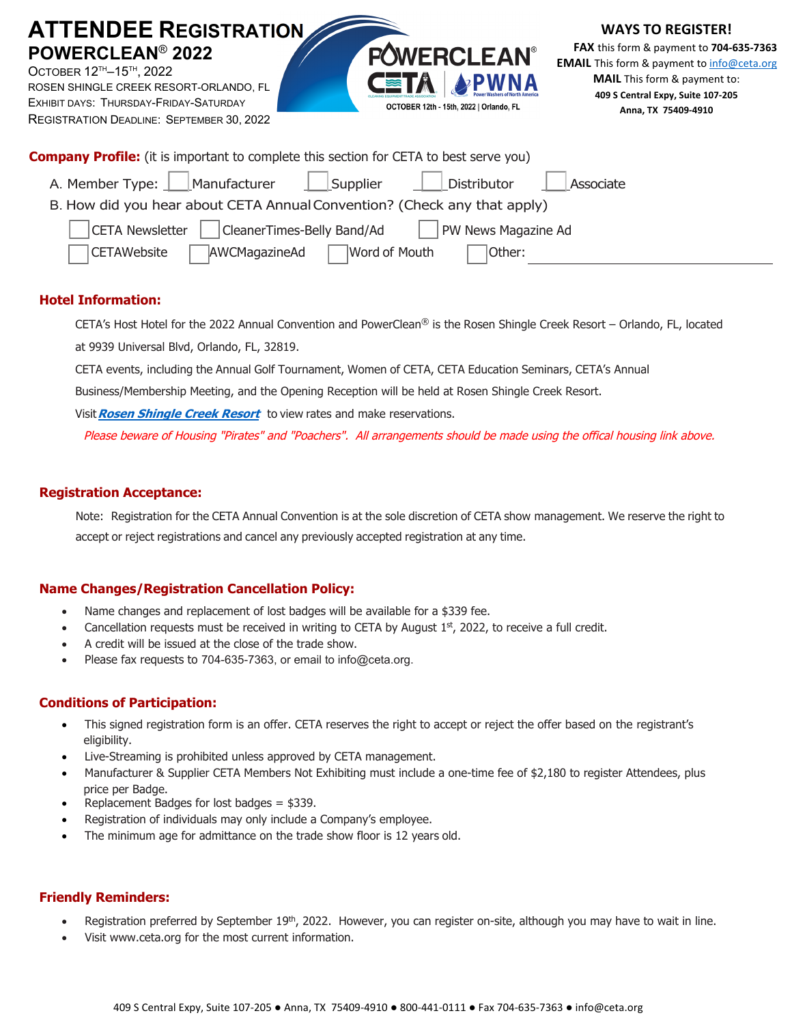| <b>ATTENDEE REGISTRATION</b><br>POWERCLEAN <sup>®</sup> 2022<br>OCTOBER 12 <sup>™</sup> -15™, 2022<br>ROSEN SHINGLE CREEK RESORT-ORLANDO, FL<br>EXHIBIT DAYS: THURSDAY-FRIDAY-SATURDAY<br>REGISTRATION DEADLINE: SEPTEMBER 30, 2022 | <b>WAYS TO REGISTER!</b><br><b>FAX</b> this form & payment to 704-635-7363<br><b>POWERCLEAN®</b><br><b>EMAIL</b> This form & payment to info@ceta.org<br><b>MAIL</b> This form & payment to:<br>409 S Central Expy, Suite 107-205<br>OCTOBER 12th - 15th, 2022   Orlando, FL<br>Anna, TX 75409-4910 |  |
|-------------------------------------------------------------------------------------------------------------------------------------------------------------------------------------------------------------------------------------|-----------------------------------------------------------------------------------------------------------------------------------------------------------------------------------------------------------------------------------------------------------------------------------------------------|--|
| <b>Company Profile:</b> (it is important to complete this section for CETA to best serve you)                                                                                                                                       |                                                                                                                                                                                                                                                                                                     |  |
| A. Member Type: $\Box$ Manufacturer<br>$\Box$ Supplier                                                                                                                                                                              | Distributor<br>Associate                                                                                                                                                                                                                                                                            |  |
| B. How did you hear about CETA Annual Convention? (Check any that apply)                                                                                                                                                            |                                                                                                                                                                                                                                                                                                     |  |
| CleanerTimes-Belly Band/Ad<br><b>CETA Newsletter</b>                                                                                                                                                                                | PW News Magazine Ad                                                                                                                                                                                                                                                                                 |  |
| Word of Mouth<br><b>CETAWebsite</b><br>AWCMagazineAd                                                                                                                                                                                | Other:                                                                                                                                                                                                                                                                                              |  |

#### **Hotel Information:**

CETA's Host Hotel for the 2022 Annual Convention and PowerClean® is the Rosen Shingle Creek Resort – Orlando, FL, located at 9939 Universal Blvd, Orlando, FL, 32819.

CETA events, including the Annual Golf Tournament, Women of CETA, CETA Education Seminars, CETA's Annual

Business/Membership Meeting, and the Opening Reception will be held at Rosen Shingle Creek Resort.

Visit **Rosen Shingle Creek Resort** to view rates and make reservations.

Please beware of Housing "Pirates" and "Poachers". All arrangements should be made using the offical housing link above.

#### **Registration Acceptance:**

Note: Registration for the CETA Annual Convention is at the sole discretion of CETA show management. We reserve the right to accept or reject registrations and cancel any previously accepted registration at any time.

#### **Name Changes/Registration Cancellation Policy:**

- Name changes and replacement of lost badges will be available for a \$339 fee.
- Cancellation requests must be received in writing to CETA by August  $1<sup>st</sup>$ , 2022, to receive a full credit.
- A credit will be issued at the close of the trade show.
- Please fax requests to 704-635-7363, or email to info@ceta.org.

#### **Conditions of Participation:**

- This signed registration form is an offer. CETA reserves the right to accept or reject the offer based on the registrant's eligibility.
- Live-Streaming is prohibited unless approved by CETA management.
- Manufacturer & Supplier CETA Members Not Exhibiting must include a one-time fee of \$2,180 to register Attendees, plus price per Badge.
- Replacement Badges for lost badges = \$339.
- Registration of individuals may only include a Company's employee.
- The minimum age for admittance on the trade show floor is 12 years old.

#### **Friendly Reminders:**

- Registration preferred by September 19<sup>th</sup>, 2022. However, you can register on-site, although you may have to wait in line.
- Visit www.ceta.org for the most current information.